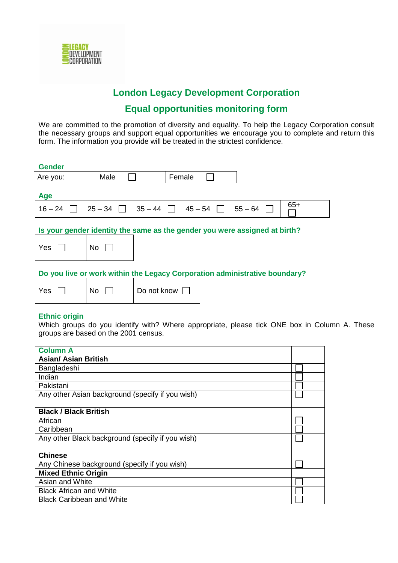

# **London Legacy Development Corporation**

# **Equal opportunities monitoring form**

We are committed to the promotion of diversity and equality. To help the Legacy Corporation consult the necessary groups and support equal opportunities we encourage you to complete and return this form. The information you provide will be treated in the strictest confidence.

| <b>Gender</b>  |      |  |        |  |  |     |
|----------------|------|--|--------|--|--|-----|
| Are you:       | Male |  | Female |  |  |     |
| Age            |      |  |        |  |  |     |
| $16-24$ $\Box$ |      |  |        |  |  | 65+ |
|                |      |  |        |  |  |     |

## **Is your gender identity the same as the gender you were assigned at birth?**

| Yes |  | $\overline{\phantom{a}}$ No |  |
|-----|--|-----------------------------|--|
|-----|--|-----------------------------|--|

# **Do you live or work within the Legacy Corporation administrative boundary?**

| Yes | <b>No</b> | Do not know [ |
|-----|-----------|---------------|
|-----|-----------|---------------|

#### **Ethnic origin**

Which groups do you identify with? Where appropriate, please tick ONE box in Column A. These groups are based on the 2001 census.

| <b>Column A</b>                                  |  |  |
|--------------------------------------------------|--|--|
| <b>Asian/ Asian British</b>                      |  |  |
| Bangladeshi                                      |  |  |
| Indian                                           |  |  |
| Pakistani                                        |  |  |
| Any other Asian background (specify if you wish) |  |  |
|                                                  |  |  |
| <b>Black / Black British</b>                     |  |  |
| African                                          |  |  |
| Caribbean                                        |  |  |
| Any other Black background (specify if you wish) |  |  |
|                                                  |  |  |
| <b>Chinese</b>                                   |  |  |
| Any Chinese background (specify if you wish)     |  |  |
| <b>Mixed Ethnic Origin</b>                       |  |  |
| Asian and White                                  |  |  |
| <b>Black African and White</b>                   |  |  |
| <b>Black Caribbean and White</b>                 |  |  |